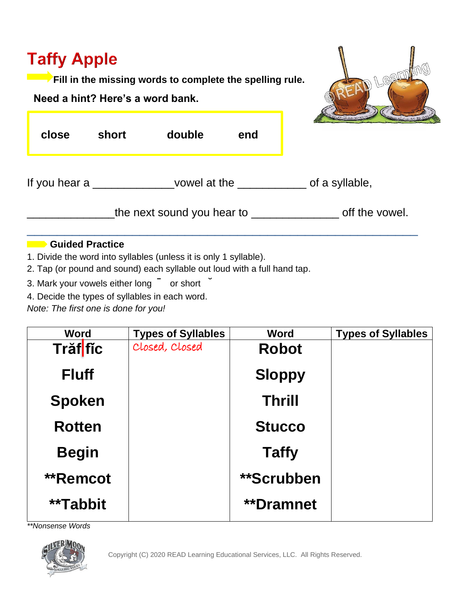# **Taffy Apple**

**Fill in the missing words to complete the spelling rule.** 



**Need a hint? Here's a word bank.**

| close         | short           | double                     | end            | $-48 - 35 - 39 - 00 - 04 - 3$<br>4-28-11-99-80 |
|---------------|-----------------|----------------------------|----------------|------------------------------------------------|
| If you hear a | vowel at the __ |                            | of a syllable, |                                                |
|               |                 | the next sound you hear to |                | off the vowel.                                 |

#### **Guided Practice**

- 1. Divide the word into syllables (unless it is only 1 syllable).
- 2. Tap (or pound and sound) each syllable out loud with a full hand tap.
- 3. Mark your vowels either long  $\overline{\phantom{a}}$  or short  $\overline{\phantom{a}}$
- 4. Decide the types of syllables in each word.

*Note: The first one is done for you!* 

| <b>Word</b>     | <b>Types of Syllables</b> | <b>Word</b>      | <b>Types of Syllables</b> |
|-----------------|---------------------------|------------------|---------------------------|
| <b>Trăffic</b>  | Closed, Closed            | <b>Robot</b>     |                           |
| <b>Fluff</b>    |                           | <b>Sloppy</b>    |                           |
| <b>Spoken</b>   |                           | <b>Thrill</b>    |                           |
| <b>Rotten</b>   |                           | <b>Stucco</b>    |                           |
| <b>Begin</b>    |                           | <b>Taffy</b>     |                           |
| <b>**Remcot</b> |                           | **Scrubben       |                           |
| <b>**Tabbit</b> |                           | <b>**Dramnet</b> |                           |

*\*\*Nonsense Words*

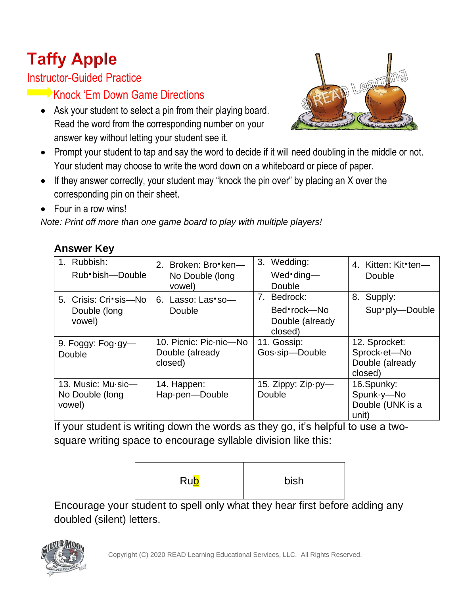# **Taffy Apple**

### Instructor-Guided Practice

## **Knock 'Em Down Game Directions**

• Ask your student to select a pin from their playing board. Read the word from the corresponding number on your answer key without letting your student see it.



- Prompt your student to tap and say the word to decide if it will need doubling in the middle or not. Your student may choose to write the word down on a whiteboard or piece of paper.
- If they answer correctly, your student may "knock the pin over" by placing an X over the corresponding pin on their sheet.
- Four in a row wins!

*Note: Print off more than one game board to play with multiple players!* 

#### **Answer Key**

| 1. Rubbish:<br>Rub-bish-Double                  | 2. Broken: Bro-ken-<br>No Double (long)<br>vowel)    | 3. Wedding:<br>$Wed$ -ding-<br>Double                                                   | 4. Kitten: Kit-ten-<br>Double                               |
|-------------------------------------------------|------------------------------------------------------|-----------------------------------------------------------------------------------------|-------------------------------------------------------------|
| 5. Crisis: Cri-sis-No<br>Double (long<br>vowel) | 6. Lasso: Las-so-<br>Double                          | Bedrock:<br>$7_{\scriptscriptstyle{\sim}}$<br>Bed-rock-No<br>Double (already<br>closed) | 8. Supply:<br>Sup-ply-Double                                |
| 9. Foggy: $Fog-gy$ —<br>Double                  | 10. Picnic: Pic-nic-No<br>Double (already<br>closed) | 11. Gossip:<br>Gos-sip-Double                                                           | 12. Sprocket:<br>Sprock-et-No<br>Double (already<br>closed) |
| 13. Music: Mu-sic-<br>No Double (long<br>vowel) | 14. Happen:<br>Hap-pen-Double                        | 15. Zippy: Zip-py-<br>Double                                                            | 16.Spunky:<br>Spunk-y-No<br>Double (UNK is a<br>unit)       |

If your student is writing down the words as they go, it's helpful to use a twosquare writing space to encourage syllable division like this:



Encourage your student to spell only what they hear first before adding any doubled (silent) letters.

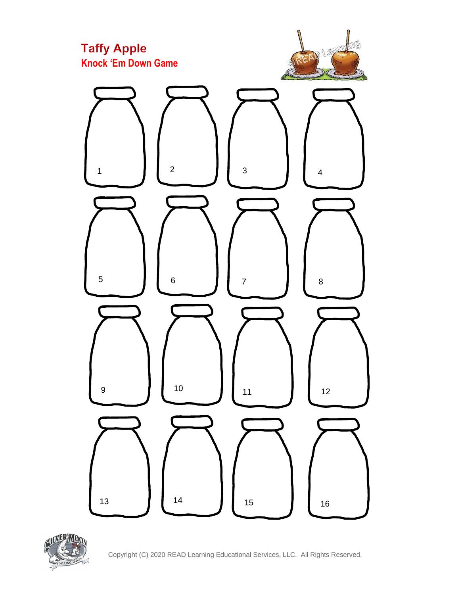



Copyright (C) 2020 READ Learning Educational Services, LLC. All Rights Reserved.